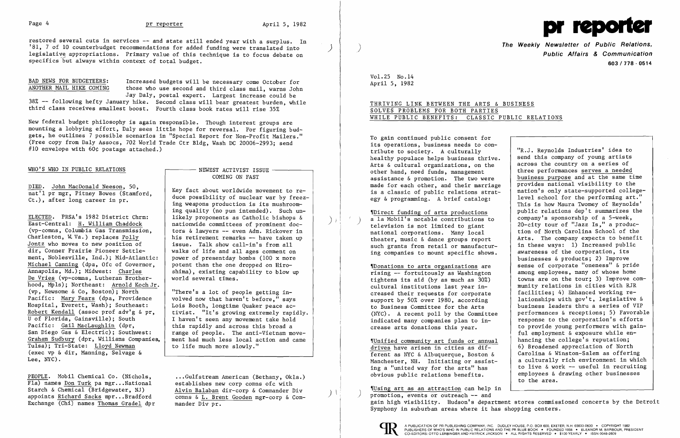restored several cuts in services -- and state still ended year with a surplus. In '81, 7 of 10 counterbudget recommendations for added funding were translated into legislative appropriations. Primary value of this technique is to focus debate on specifics but always within context of total budget.

BAD NEWS FOR BUDGETEERS: Increased budgets will be necessary come October for ANOTHER MAIL HIKE COMING those who use second and third class mail, warns John Jay Daly, postal expert. Largest increase could be

New federal budget philosophy is again responsible. Though interest groups are mounting a lobbying effort, Daly sees little hope for reversal. For figuring budgets, he outlines 7 possible scenarios in "Special Report for Non-Profit Mailers." (Free copy from Daly Assocs, 702 World Trade Ctr Bldg, Wash DC 20006-2993; send #10 envelope with 60¢ postage attached.)

DIED. John MacDonald Neeson, 50, nat'l pr mgr, Pitney Bowes (Stamford,  $Ct.$ ), after long career in pr.

38% -- following hefty January hike. Second class will bear greatest burden, while third class receives smallest boost. Fourth class book rates will rise 35%

## WHO'S WHO IN PUBLIC RELATIONS

## $-$  NEWEST ACTIVIST ISSUE  $-$ COMING ON FAST

•.• Gulfstream American (Bethany, Okla.) establishes new corp comns ofc with Alvin Balaban dir-corp & Commander Div comns & L. Brent Gooden mgr-corp & Commander Div pr.

ELECTED. PRSA's 1982 District Chrm: East-Central: H. William Chaddock (vp-comus, Columbia Gas Transmission, Charleston, W. Va.) replaces Polly Jontz who moves to new position of dir, Conner Prairie Pioneer Settlement, Noblesville, Ind.); Mid-Atlantic: Michael Canning (dpa, Ofc of Governor, Annapolis, Md.); Midwest: Charles De Vries (vp-comns, Lutheran Brotherhood, Mpls); Northeast: Arnold Koch Jr. (vp, Newsome & Co, Boston); North Pacific: Mary Fears (dpa, Providence Hospital, Everett, Wash); Southeast: Robert Kendall (assoc prof adv'g & pr, U of Florida, Gainsville); South Pacific: Gail MacLaughlin (dpr, San Diego Gas & Electric); Southwest: Graham Sudbury (dpr, Williams Companies, Tulsa); Tri-State: Lloyd Newman (exec vp & dir, Manning, Selvage & Lee, NYC).

The Weekly Newsletter of Public Relations,<br>Public Affairs & Communication 603/778 - 0514

PEOPLE. Mobil Chemical Co. (Nichols, Fla) names Don Turk pa mgr...National Starch & Chemical (Bridgewater, NJ) appoints Richard Sacks mpr...Bradford Exchange (Chi) names Thomas Gradel dpr

fUnified community art funds or annual drives have arisen in cities as different as NYC & Albuquerque, Boston & Manchester, NH. Initiating or assisting a "united way for the arts" has obvious public relations benefits.

Key fact about worldwide movement to reduce possibility of nuclear war by freezing weapons production is its mushrooming quality (no pun intended). Such unlikely proponents as Catholic bishops & nationwide committees of prominent doctors & lawyers -- even Adm. Rickover in his retirement remarks -- have taken up issue. Talk show call-in's from all walks of life and all ages comment on power of presentday bombs (100 x more potent than the one dropped on Hiroshima), existing capability to blow up world several times.

"There's a lot of people getting involved now that haven't before," says Lois Booth, longtime Quaker peace activist. "It's growing extremely rapidly. I haven't seen any movement take hold this rapidly and across this broad a range of people. The anti-Vietnam movement had much less local action and came to life much more slowly."

> $N$ Using art as an attraction can help in promotion, events or outreach -- and gain high visibility. Hudson's department stores commissioned concerts by the Detroit Symphony in suburban areas where it has shopping centers.



)

 $\big)$  ).

 $\left( \frac{1}{2} \right)$ 



Vol. 25 No. 14 April 5, 1982

# THRIVING LINK BETWEEN THE ARTS & BUSINESS SOLVES PROBLEMS FOR BOTH PARTIES WHILE PUBLIC BENEFITS: CLASSIC PUBLIC RELATIONS

To gain continued public consent for its operations, business needs to contribute to society. A culturally healthy populace helps business thrive. Arts & cultural organizations, on the other hand, need funds, management assistance & promotion. The two were made for each other, and their marriage is a classic of public relations strategy & programming. A brief catalog:

'[Direct funding of arts productions a la Mobil's notable contributions to ) television is not limited to giant national corporations. Many local theater, music & dance groups report such grants from retail or manufacturing companies to mount specific shows.

'[Donations to arts organizations are rising -- fortuitously as Washington tightens its aid (by as much as 30%) cultural institutions last year increased their requests for corporate support by 50% over 1980, according to Business Committee for the Arts (NYC). A recent poll by the Committee indicated many companies plan to increase arts donations this year.

"R.J. Reynolds Industries' idea to send this company of young artists across the country on a series of three performances serves a needed business purpose and at the same time provides national visibility to the nation's only state-supported collegelevel school for the performing art." This is how Maura Twomey of Reynolds' public relations dep't summarizes the company's sponsorship of a 5-week, 20-city tour of "Jazz Is," a production of North Carolina School of the Arts. The company expects to benefit in these ways: 1) Increased public awareness of the corporation, its businesses & products; 2) Improve sense of corporate "oneness" & pride among employees, many of whose home towns are on the tour; 3) Improve community relations in cities with RJR facilities; 4) Enhanced working relationships with gov't, legislative & business leaders thru a series of VIP performances & receptions; 5) Favorable response to the corporation's efforts to provide young performers with gainful employment & exposure while enhancing the college's reputation; 6) Broadened appreciation of North Carolina & Winston-Salem as offering a culturally rich environment in which to live  $\&$  work -- useful in recruiting employees & drawing other businesses to the area.